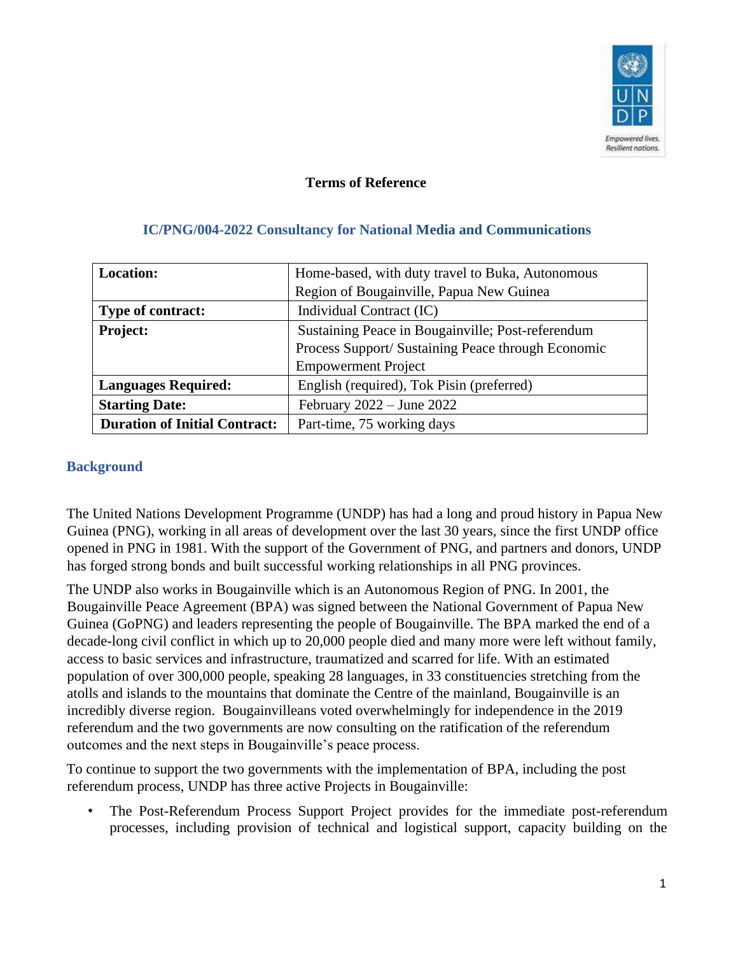

#### **Terms of Reference**

| <b>Location:</b>                     | Home-based, with duty travel to Buka, Autonomous   |
|--------------------------------------|----------------------------------------------------|
|                                      | Region of Bougainville, Papua New Guinea           |
| <b>Type of contract:</b>             | Individual Contract (IC)                           |
| <b>Project:</b>                      | Sustaining Peace in Bougainville; Post-referendum  |
|                                      | Process Support/ Sustaining Peace through Economic |
|                                      | <b>Empowerment Project</b>                         |
| <b>Languages Required:</b>           | English (required), Tok Pisin (preferred)          |
| <b>Starting Date:</b>                | February $2022 -$ June $2022$                      |
| <b>Duration of Initial Contract:</b> | Part-time, 75 working days                         |

#### **IC/PNG/004-2022 Consultancy for National Media and Communications**

#### **Background**

The United Nations Development Programme (UNDP) has had a long and proud history in Papua New Guinea (PNG), working in all areas of development over the last 30 years, since the first UNDP office opened in PNG in 1981. With the support of the Government of PNG, and partners and donors, UNDP has forged strong bonds and built successful working relationships in all PNG provinces.

The UNDP also works in Bougainville which is an Autonomous Region of PNG. In 2001, the Bougainville Peace Agreement (BPA) was signed between the National Government of Papua New Guinea (GoPNG) and leaders representing the people of Bougainville. The BPA marked the end of a decade-long civil conflict in which up to 20,000 people died and many more were left without family, access to basic services and infrastructure, traumatized and scarred for life. With an estimated population of over 300,000 people, speaking 28 languages, in 33 constituencies stretching from the atolls and islands to the mountains that dominate the Centre of the mainland, Bougainville is an incredibly diverse region. Bougainvilleans voted overwhelmingly for independence in the 2019 referendum and the two governments are now consulting on the ratification of the referendum outcomes and the next steps in Bougainville's peace process.

To continue to support the two governments with the implementation of BPA, including the post referendum process, UNDP has three active Projects in Bougainville:

• The Post-Referendum Process Support Project provides for the immediate post-referendum processes, including provision of technical and logistical support, capacity building on the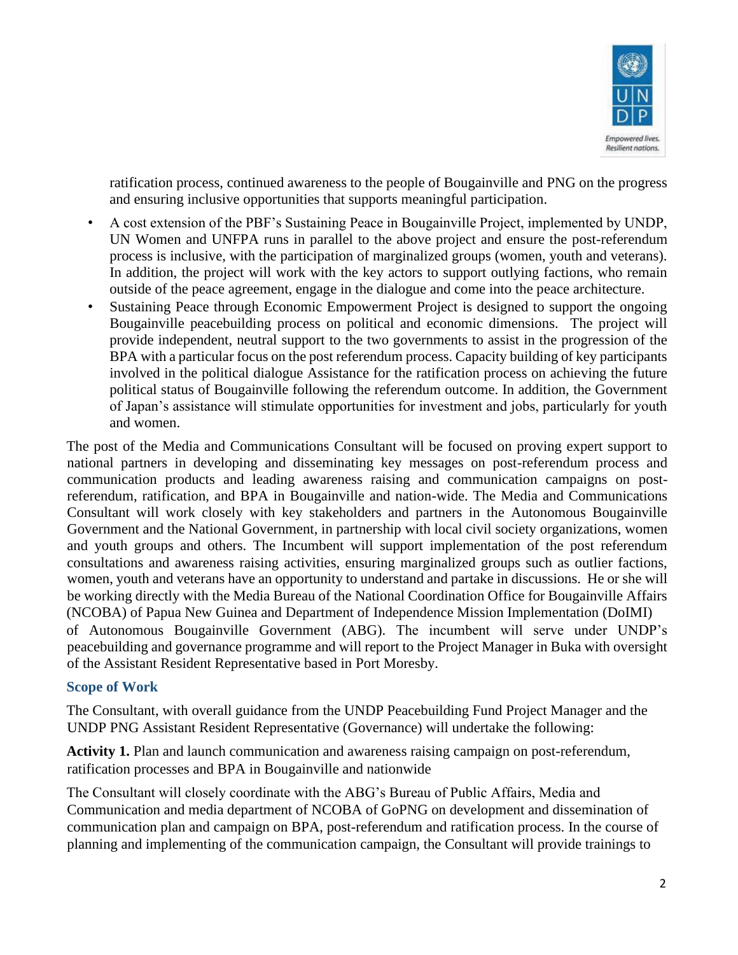

ratification process, continued awareness to the people of Bougainville and PNG on the progress and ensuring inclusive opportunities that supports meaningful participation.

- A cost extension of the PBF's Sustaining Peace in Bougainville Project, implemented by UNDP, UN Women and UNFPA runs in parallel to the above project and ensure the post-referendum process is inclusive, with the participation of marginalized groups (women, youth and veterans). In addition, the project will work with the key actors to support outlying factions, who remain outside of the peace agreement, engage in the dialogue and come into the peace architecture.
- Sustaining Peace through Economic Empowerment Project is designed to support the ongoing Bougainville peacebuilding process on political and economic dimensions. The project will provide independent, neutral support to the two governments to assist in the progression of the BPA with a particular focus on the post referendum process. Capacity building of key participants involved in the political dialogue Assistance for the ratification process on achieving the future political status of Bougainville following the referendum outcome. In addition, the Government of Japan's assistance will stimulate opportunities for investment and jobs, particularly for youth and women.

The post of the Media and Communications Consultant will be focused on proving expert support to national partners in developing and disseminating key messages on post-referendum process and communication products and leading awareness raising and communication campaigns on postreferendum, ratification, and BPA in Bougainville and nation-wide. The Media and Communications Consultant will work closely with key stakeholders and partners in the Autonomous Bougainville Government and the National Government, in partnership with local civil society organizations, women and youth groups and others. The Incumbent will support implementation of the post referendum consultations and awareness raising activities, ensuring marginalized groups such as outlier factions, women, youth and veterans have an opportunity to understand and partake in discussions. He or she will be working directly with the Media Bureau of the National Coordination Office for Bougainville Affairs (NCOBA) of Papua New Guinea and Department of Independence Mission Implementation (DoIMI) of Autonomous Bougainville Government (ABG). The incumbent will serve under UNDP's peacebuilding and governance programme and will report to the Project Manager in Buka with oversight of the Assistant Resident Representative based in Port Moresby.

#### **Scope of Work**

The Consultant, with overall guidance from the UNDP Peacebuilding Fund Project Manager and the UNDP PNG Assistant Resident Representative (Governance) will undertake the following:

**Activity 1.** Plan and launch communication and awareness raising campaign on post-referendum, ratification processes and BPA in Bougainville and nationwide

The Consultant will closely coordinate with the ABG's Bureau of Public Affairs, Media and Communication and media department of NCOBA of GoPNG on development and dissemination of communication plan and campaign on BPA, post-referendum and ratification process. In the course of planning and implementing of the communication campaign, the Consultant will provide trainings to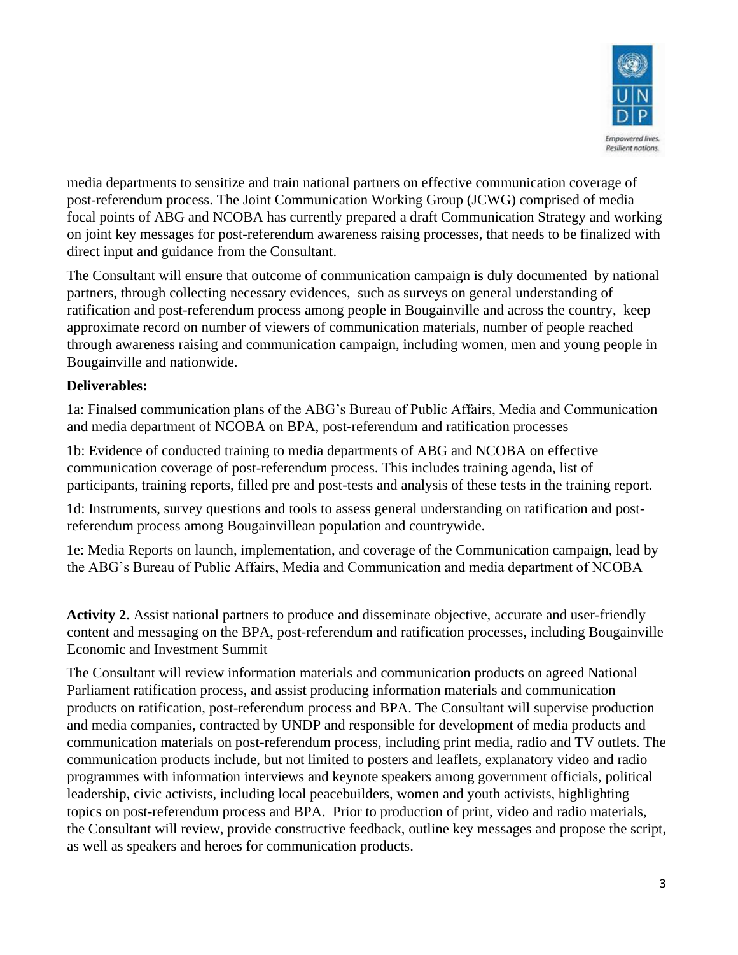

media departments to sensitize and train national partners on effective communication coverage of post-referendum process. The Joint Communication Working Group (JCWG) comprised of media focal points of ABG and NCOBA has currently prepared a draft Communication Strategy and working on joint key messages for post-referendum awareness raising processes, that needs to be finalized with direct input and guidance from the Consultant.

The Consultant will ensure that outcome of communication campaign is duly documented by national partners, through collecting necessary evidences, such as surveys on general understanding of ratification and post-referendum process among people in Bougainville and across the country, keep approximate record on number of viewers of communication materials, number of people reached through awareness raising and communication campaign, including women, men and young people in Bougainville and nationwide.

## **Deliverables:**

1a: Finalsed communication plans of the ABG's Bureau of Public Affairs, Media and Communication and media department of NCOBA on BPA, post-referendum and ratification processes

1b: Evidence of conducted training to media departments of ABG and NCOBA on effective communication coverage of post-referendum process. This includes training agenda, list of participants, training reports, filled pre and post-tests and analysis of these tests in the training report.

1d: Instruments, survey questions and tools to assess general understanding on ratification and postreferendum process among Bougainvillean population and countrywide.

1e: Media Reports on launch, implementation, and coverage of the Communication campaign, lead by the ABG's Bureau of Public Affairs, Media and Communication and media department of NCOBA

**Activity 2.** Assist national partners to produce and disseminate objective, accurate and user-friendly content and messaging on the BPA, post-referendum and ratification processes, including Bougainville Economic and Investment Summit

The Consultant will review information materials and communication products on agreed National Parliament ratification process, and assist producing information materials and communication products on ratification, post-referendum process and BPA. The Consultant will supervise production and media companies, contracted by UNDP and responsible for development of media products and communication materials on post-referendum process, including print media, radio and TV outlets. The communication products include, but not limited to posters and leaflets, explanatory video and radio programmes with information interviews and keynote speakers among government officials, political leadership, civic activists, including local peacebuilders, women and youth activists, highlighting topics on post-referendum process and BPA. Prior to production of print, video and radio materials, the Consultant will review, provide constructive feedback, outline key messages and propose the script, as well as speakers and heroes for communication products.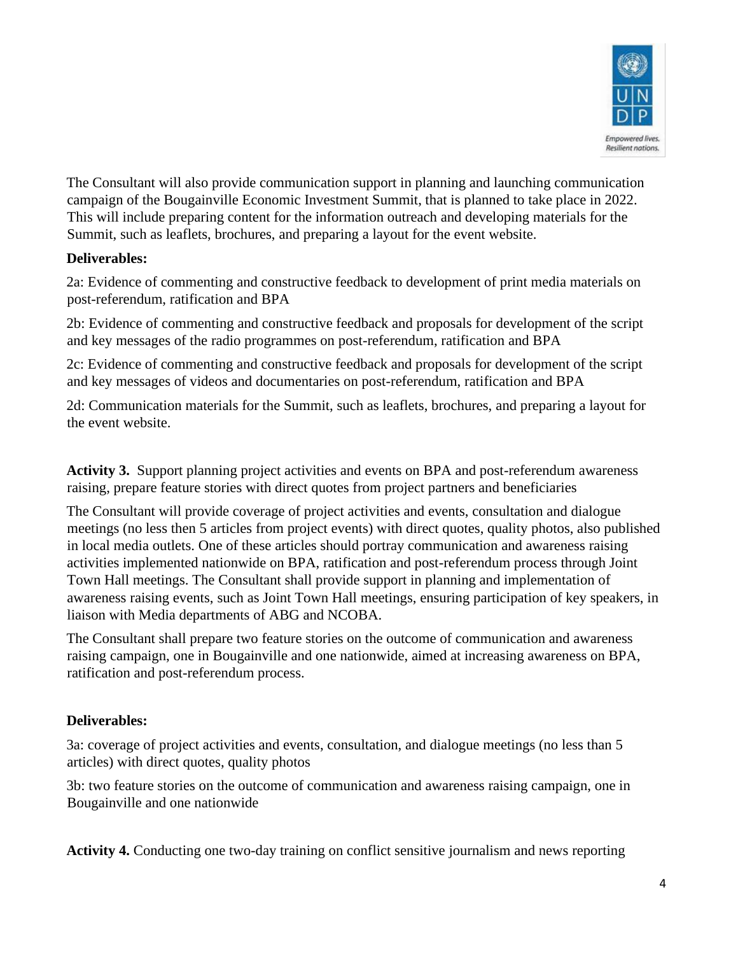

The Consultant will also provide communication support in planning and launching communication campaign of the Bougainville Economic Investment Summit, that is planned to take place in 2022. This will include preparing content for the information outreach and developing materials for the Summit, such as leaflets, brochures, and preparing a layout for the event website.

#### **Deliverables:**

2a: Evidence of commenting and constructive feedback to development of print media materials on post-referendum, ratification and BPA

2b: Evidence of commenting and constructive feedback and proposals for development of the script and key messages of the radio programmes on post-referendum, ratification and BPA

2c: Evidence of commenting and constructive feedback and proposals for development of the script and key messages of videos and documentaries on post-referendum, ratification and BPA

2d: Communication materials for the Summit, such as leaflets, brochures, and preparing a layout for the event website.

**Activity 3.** Support planning project activities and events on BPA and post-referendum awareness raising, prepare feature stories with direct quotes from project partners and beneficiaries

The Consultant will provide coverage of project activities and events, consultation and dialogue meetings (no less then 5 articles from project events) with direct quotes, quality photos, also published in local media outlets. One of these articles should portray communication and awareness raising activities implemented nationwide on BPA, ratification and post-referendum process through Joint Town Hall meetings. The Consultant shall provide support in planning and implementation of awareness raising events, such as Joint Town Hall meetings, ensuring participation of key speakers, in liaison with Media departments of ABG and NCOBA.

The Consultant shall prepare two feature stories on the outcome of communication and awareness raising campaign, one in Bougainville and one nationwide, aimed at increasing awareness on BPA, ratification and post-referendum process.

# **Deliverables:**

3a: coverage of project activities and events, consultation, and dialogue meetings (no less than 5 articles) with direct quotes, quality photos

3b: two feature stories on the outcome of communication and awareness raising campaign, one in Bougainville and one nationwide

**Activity 4.** Conducting one two-day training on conflict sensitive journalism and news reporting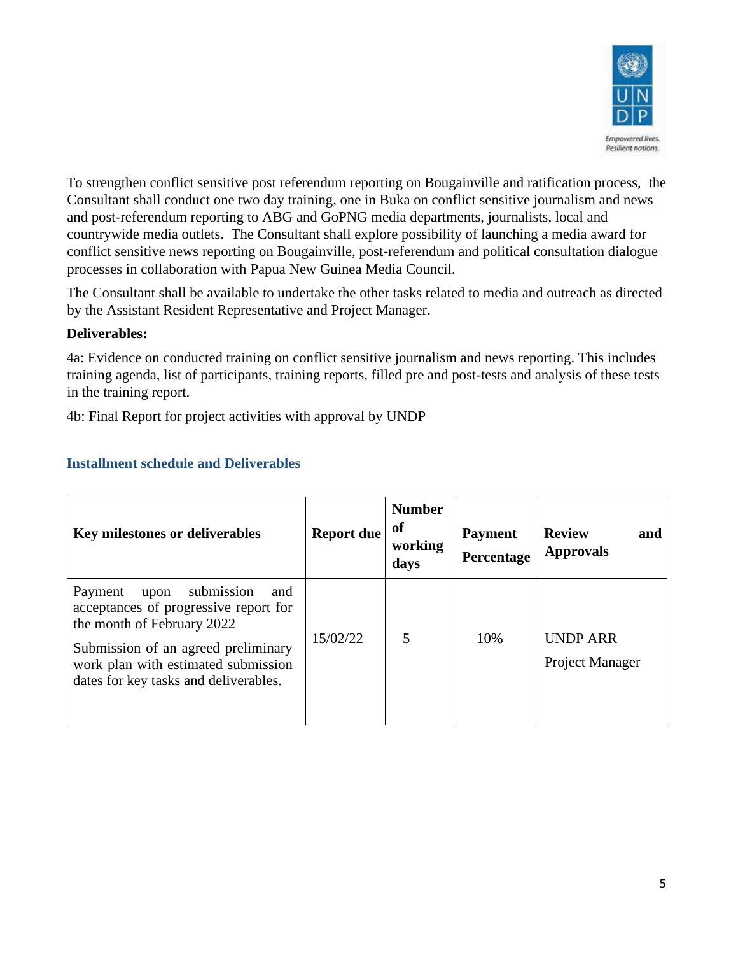

To strengthen conflict sensitive post referendum reporting on Bougainville and ratification process, the Consultant shall conduct one two day training, one in Buka on conflict sensitive journalism and news and post-referendum reporting to ABG and GoPNG media departments, journalists, local and countrywide media outlets. The Consultant shall explore possibility of launching a media award for conflict sensitive news reporting on Bougainville, post-referendum and political consultation dialogue processes in collaboration with Papua New Guinea Media Council.

The Consultant shall be available to undertake the other tasks related to media and outreach as directed by the Assistant Resident Representative and Project Manager.

#### **Deliverables:**

4a: Evidence on conducted training on conflict sensitive journalism and news reporting. This includes training agenda, list of participants, training reports, filled pre and post-tests and analysis of these tests in the training report.

4b: Final Report for project activities with approval by UNDP

| <b>Key milestones or deliverables</b>                                                                                                                                                                                              | <b>Report due</b> | <b>Number</b><br><sub>of</sub><br>working<br>days | <b>Payment</b><br>Percentage | <b>Review</b><br>and<br><b>Approvals</b>  |
|------------------------------------------------------------------------------------------------------------------------------------------------------------------------------------------------------------------------------------|-------------------|---------------------------------------------------|------------------------------|-------------------------------------------|
| submission<br>Payment<br>upon<br>and<br>acceptances of progressive report for<br>the month of February 2022<br>Submission of an agreed preliminary<br>work plan with estimated submission<br>dates for key tasks and deliverables. | 15/02/22          | 5                                                 | 10%                          | <b>UNDP ARR</b><br><b>Project Manager</b> |

# **Installment schedule and Deliverables**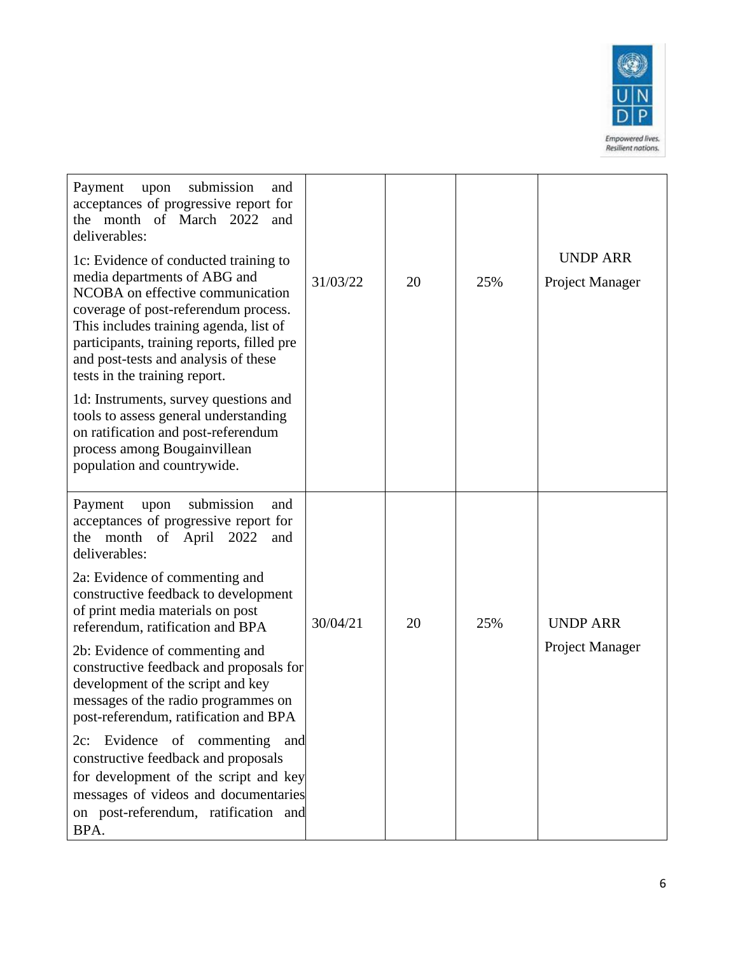

| Payment<br>submission<br>upon<br>and<br>acceptances of progressive report for<br>the month of March 2022<br>and<br>deliverables:<br>1c: Evidence of conducted training to<br>media departments of ABG and<br>NCOBA on effective communication<br>coverage of post-referendum process.<br>This includes training agenda, list of<br>participants, training reports, filled pre<br>and post-tests and analysis of these<br>tests in the training report.<br>1d: Instruments, survey questions and<br>tools to assess general understanding | 31/03/22 | 20 | 25% | <b>UNDP ARR</b><br>Project Manager |
|------------------------------------------------------------------------------------------------------------------------------------------------------------------------------------------------------------------------------------------------------------------------------------------------------------------------------------------------------------------------------------------------------------------------------------------------------------------------------------------------------------------------------------------|----------|----|-----|------------------------------------|
| on ratification and post-referendum<br>process among Bougainvillean<br>population and countrywide.                                                                                                                                                                                                                                                                                                                                                                                                                                       |          |    |     |                                    |
| Payment<br>submission<br>upon<br>and<br>acceptances of progressive report for<br>the month<br>April<br>2022<br>of<br>and<br>deliverables:                                                                                                                                                                                                                                                                                                                                                                                                |          |    |     |                                    |
| 2a: Evidence of commenting and<br>constructive feedback to development<br>of print media materials on post<br>referendum, ratification and BPA                                                                                                                                                                                                                                                                                                                                                                                           | 30/04/21 | 20 | 25% | <b>UNDP ARR</b>                    |
| 2b: Evidence of commenting and<br>constructive feedback and proposals for<br>development of the script and key<br>messages of the radio programmes on<br>post-referendum, ratification and BPA                                                                                                                                                                                                                                                                                                                                           |          |    |     | Project Manager                    |
| Evidence of commenting<br>2c:<br>and<br>constructive feedback and proposals<br>for development of the script and key<br>messages of videos and documentaries<br>on post-referendum, ratification and<br>BPA.                                                                                                                                                                                                                                                                                                                             |          |    |     |                                    |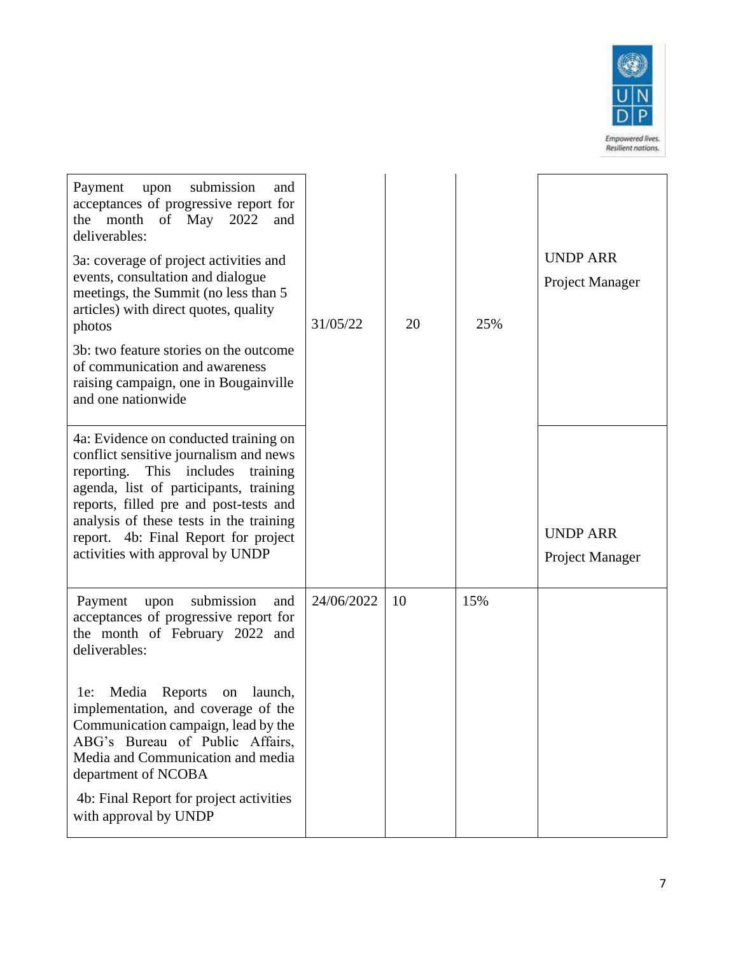

| submission<br>Payment<br>upon<br>and<br>acceptances of progressive report for<br>the month of May 2022<br>and<br>deliverables:<br>3a: coverage of project activities and<br>events, consultation and dialogue<br>meetings, the Summit (no less than 5<br>articles) with direct quotes, quality<br>photos<br>3b: two feature stories on the outcome<br>of communication and awareness<br>raising campaign, one in Bougainville<br>and one nationwide<br>4a: Evidence on conducted training on<br>conflict sensitive journalism and news<br>reporting. This includes<br>training<br>agenda, list of participants, training | 31/05/22   | 20 | 25% | <b>UNDP ARR</b><br>Project Manager |
|--------------------------------------------------------------------------------------------------------------------------------------------------------------------------------------------------------------------------------------------------------------------------------------------------------------------------------------------------------------------------------------------------------------------------------------------------------------------------------------------------------------------------------------------------------------------------------------------------------------------------|------------|----|-----|------------------------------------|
| reports, filled pre and post-tests and<br>analysis of these tests in the training<br>report. 4b: Final Report for project<br>activities with approval by UNDP                                                                                                                                                                                                                                                                                                                                                                                                                                                            |            |    |     | <b>UNDP ARR</b><br>Project Manager |
| submission<br>Payment<br>upon<br>and<br>acceptances of progressive report for<br>the month of February 2022 and<br>deliverables:                                                                                                                                                                                                                                                                                                                                                                                                                                                                                         | 24/06/2022 | 10 | 15% |                                    |
| Reports<br>Media<br>launch,<br>$1e$ :<br>on<br>implementation, and coverage of the<br>Communication campaign, lead by the<br>ABG's Bureau of Public Affairs,<br>Media and Communication and media<br>department of NCOBA<br>4b: Final Report for project activities<br>with approval by UNDP                                                                                                                                                                                                                                                                                                                             |            |    |     |                                    |
|                                                                                                                                                                                                                                                                                                                                                                                                                                                                                                                                                                                                                          |            |    |     |                                    |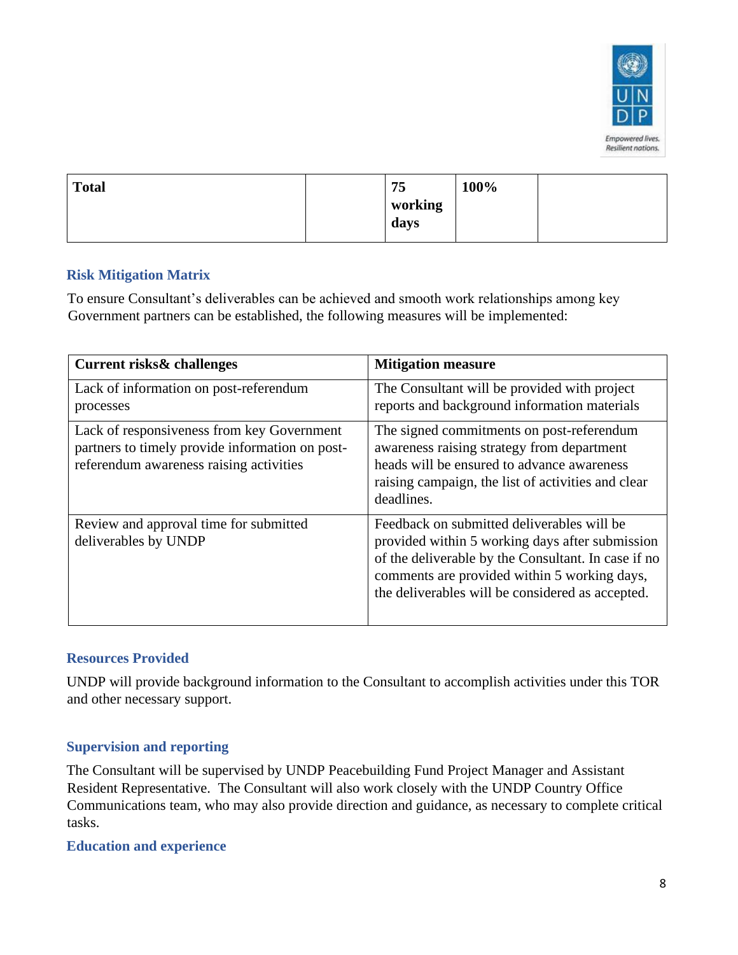

| working |  |
|---------|--|
| days    |  |

#### **Risk Mitigation Matrix**

To ensure Consultant's deliverables can be achieved and smooth work relationships among key Government partners can be established, the following measures will be implemented:

| <b>Current risks&amp; challenges</b>                                                                                                     | <b>Mitigation measure</b>                                                                                                                                                                                                                                |
|------------------------------------------------------------------------------------------------------------------------------------------|----------------------------------------------------------------------------------------------------------------------------------------------------------------------------------------------------------------------------------------------------------|
| Lack of information on post-referendum<br>processes                                                                                      | The Consultant will be provided with project<br>reports and background information materials                                                                                                                                                             |
| Lack of responsiveness from key Government<br>partners to timely provide information on post-<br>referendum awareness raising activities | The signed commitments on post-referendum<br>awareness raising strategy from department<br>heads will be ensured to advance awareness<br>raising campaign, the list of activities and clear<br>deadlines.                                                |
| Review and approval time for submitted<br>deliverables by UNDP                                                                           | Feedback on submitted deliverables will be<br>provided within 5 working days after submission<br>of the deliverable by the Consultant. In case if no<br>comments are provided within 5 working days,<br>the deliverables will be considered as accepted. |

#### **Resources Provided**

UNDP will provide background information to the Consultant to accomplish activities under this TOR and other necessary support.

#### **Supervision and reporting**

The Consultant will be supervised by UNDP Peacebuilding Fund Project Manager and Assistant Resident Representative. The Consultant will also work closely with the UNDP Country Office Communications team, who may also provide direction and guidance, as necessary to complete critical tasks.

#### **Education and experience**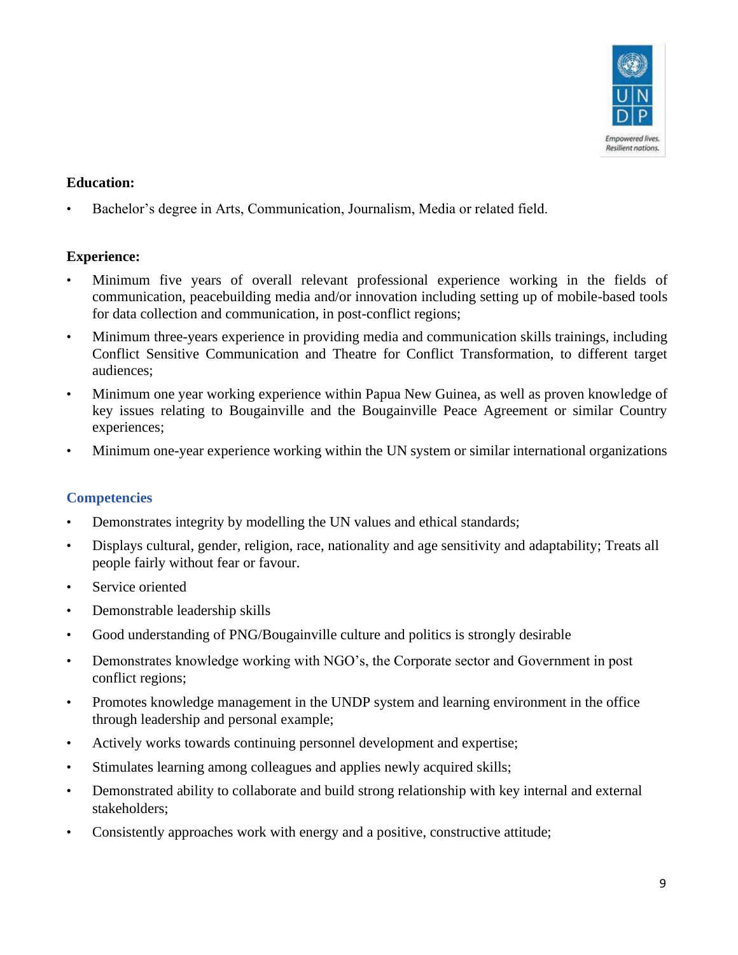

#### **Education:**

• Bachelor's degree in Arts, Communication, Journalism, Media or related field.

#### **Experience:**

- Minimum five years of overall relevant professional experience working in the fields of communication, peacebuilding media and/or innovation including setting up of mobile-based tools for data collection and communication, in post-conflict regions;
- Minimum three-years experience in providing media and communication skills trainings, including Conflict Sensitive Communication and Theatre for Conflict Transformation, to different target audiences;
- Minimum one year working experience within Papua New Guinea, as well as proven knowledge of key issues relating to Bougainville and the Bougainville Peace Agreement or similar Country experiences;
- Minimum one-year experience working within the UN system or similar international organizations

#### **Competencies**

- Demonstrates integrity by modelling the UN values and ethical standards;
- Displays cultural, gender, religion, race, nationality and age sensitivity and adaptability; Treats all people fairly without fear or favour.
- Service oriented
- Demonstrable leadership skills
- Good understanding of PNG/Bougainville culture and politics is strongly desirable
- Demonstrates knowledge working with NGO's, the Corporate sector and Government in post conflict regions;
- Promotes knowledge management in the UNDP system and learning environment in the office through leadership and personal example;
- Actively works towards continuing personnel development and expertise;
- Stimulates learning among colleagues and applies newly acquired skills;
- Demonstrated ability to collaborate and build strong relationship with key internal and external stakeholders;
- Consistently approaches work with energy and a positive, constructive attitude;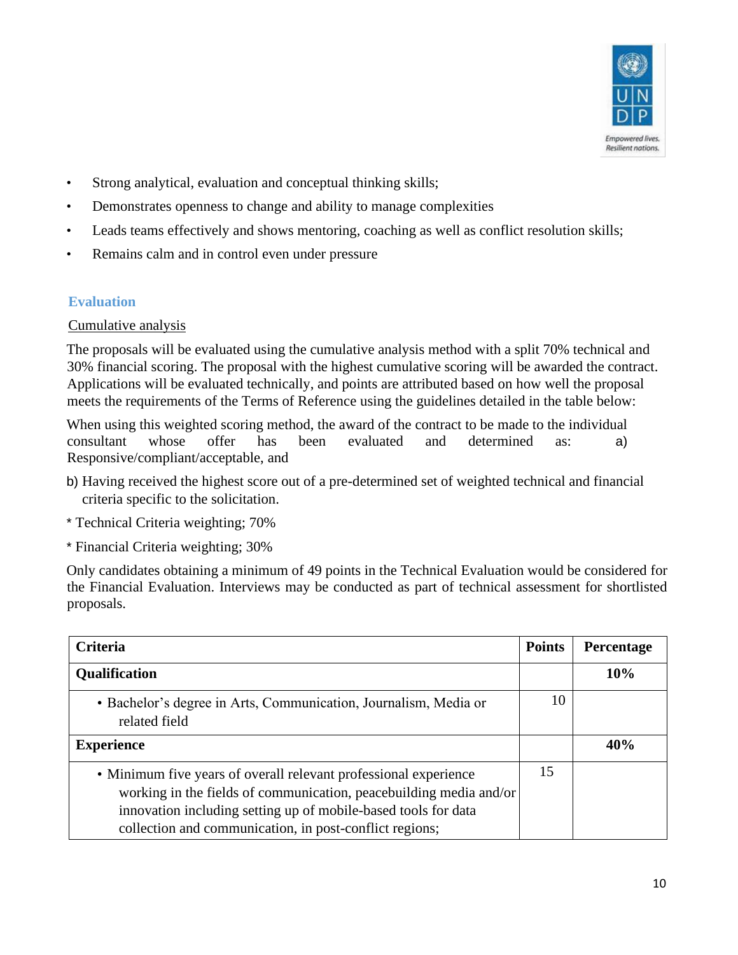

- Strong analytical, evaluation and conceptual thinking skills;
- Demonstrates openness to change and ability to manage complexities
- Leads teams effectively and shows mentoring, coaching as well as conflict resolution skills;
- Remains calm and in control even under pressure

## **Evaluation**

#### Cumulative analysis

The proposals will be evaluated using the cumulative analysis method with a split 70% technical and 30% financial scoring. The proposal with the highest cumulative scoring will be awarded the contract. Applications will be evaluated technically, and points are attributed based on how well the proposal meets the requirements of the Terms of Reference using the guidelines detailed in the table below:

When using this weighted scoring method, the award of the contract to be made to the individual consultant whose offer has been evaluated and determined as: a) Responsive/compliant/acceptable, and

- b) Having received the highest score out of a pre-determined set of weighted technical and financial criteria specific to the solicitation.
- \* Technical Criteria weighting; 70%
- \* Financial Criteria weighting; 30%

Only candidates obtaining a minimum of 49 points in the Technical Evaluation would be considered for the Financial Evaluation. Interviews may be conducted as part of technical assessment for shortlisted proposals.

| <b>Criteria</b>                                                                                                                                                                                                                                                     | <b>Points</b> | Percentage |
|---------------------------------------------------------------------------------------------------------------------------------------------------------------------------------------------------------------------------------------------------------------------|---------------|------------|
| <b>Qualification</b>                                                                                                                                                                                                                                                |               | 10%        |
| · Bachelor's degree in Arts, Communication, Journalism, Media or<br>related field                                                                                                                                                                                   | 10            |            |
| <b>Experience</b>                                                                                                                                                                                                                                                   |               | 40%        |
| • Minimum five years of overall relevant professional experience<br>working in the fields of communication, peacebuilding media and/or<br>innovation including setting up of mobile-based tools for data<br>collection and communication, in post-conflict regions; | 15            |            |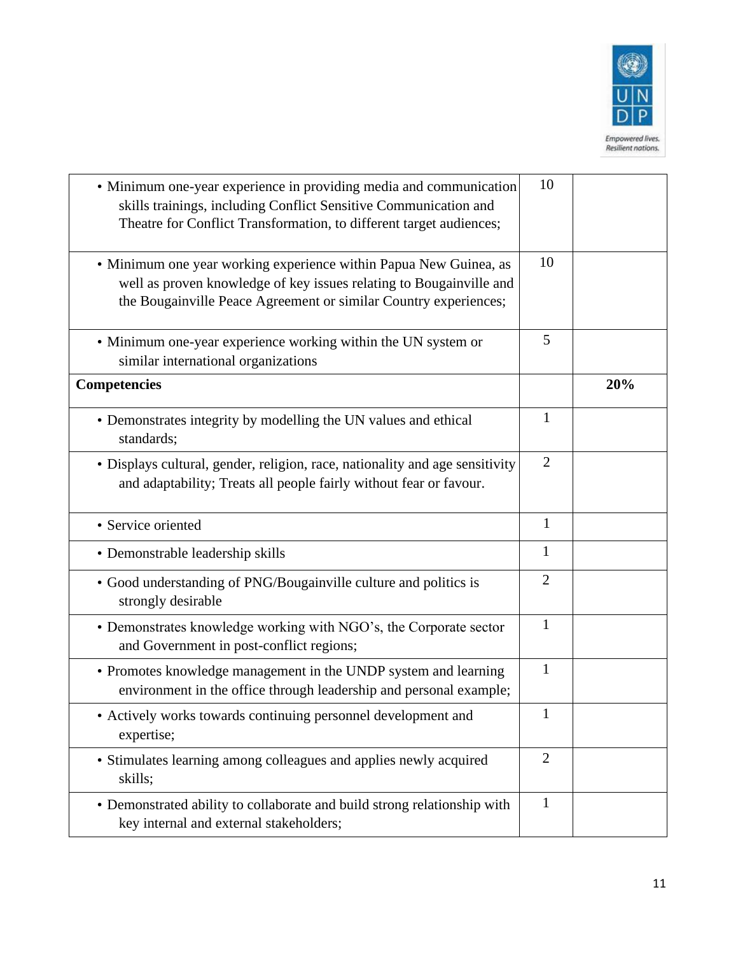

| • Minimum one-year experience in providing media and communication<br>skills trainings, including Conflict Sensitive Communication and<br>Theatre for Conflict Transformation, to different target audiences; | 10             |     |
|---------------------------------------------------------------------------------------------------------------------------------------------------------------------------------------------------------------|----------------|-----|
| · Minimum one year working experience within Papua New Guinea, as<br>well as proven knowledge of key issues relating to Bougainville and<br>the Bougainville Peace Agreement or similar Country experiences;  | 10             |     |
| • Minimum one-year experience working within the UN system or<br>similar international organizations                                                                                                          | 5              |     |
| <b>Competencies</b>                                                                                                                                                                                           |                | 20% |
| • Demonstrates integrity by modelling the UN values and ethical<br>standards;                                                                                                                                 | $\mathbf{1}$   |     |
| • Displays cultural, gender, religion, race, nationality and age sensitivity<br>and adaptability; Treats all people fairly without fear or favour.                                                            | $\overline{2}$ |     |
| • Service oriented                                                                                                                                                                                            | $\mathbf{1}$   |     |
| • Demonstrable leadership skills                                                                                                                                                                              | 1              |     |
| • Good understanding of PNG/Bougainville culture and politics is<br>strongly desirable                                                                                                                        | $\overline{2}$ |     |
| • Demonstrates knowledge working with NGO's, the Corporate sector<br>and Government in post-conflict regions;                                                                                                 | $\mathbf{1}$   |     |
| • Promotes knowledge management in the UNDP system and learning<br>environment in the office through leadership and personal example;                                                                         | $\mathbf{1}$   |     |
| • Actively works towards continuing personnel development and<br>expertise;                                                                                                                                   | $\mathbf{1}$   |     |
| • Stimulates learning among colleagues and applies newly acquired<br>skills;                                                                                                                                  | $\overline{2}$ |     |
| • Demonstrated ability to collaborate and build strong relationship with<br>key internal and external stakeholders;                                                                                           | $\mathbf{1}$   |     |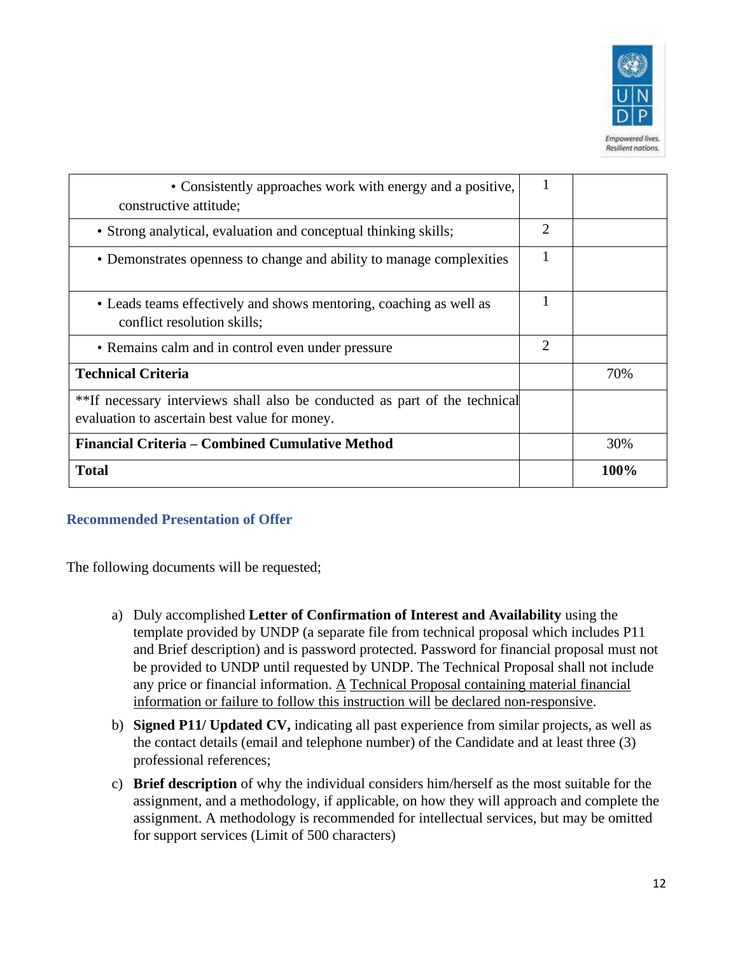

| • Consistently approaches work with energy and a positive,<br>constructive attitude;                                        |   |      |
|-----------------------------------------------------------------------------------------------------------------------------|---|------|
| • Strong analytical, evaluation and conceptual thinking skills;                                                             | 2 |      |
| • Demonstrates openness to change and ability to manage complexities                                                        |   |      |
| • Leads teams effectively and shows mentoring, coaching as well as<br>conflict resolution skills;                           |   |      |
| • Remains calm and in control even under pressure                                                                           | 2 |      |
| <b>Technical Criteria</b>                                                                                                   |   | 70%  |
| **If necessary interviews shall also be conducted as part of the technical<br>evaluation to ascertain best value for money. |   |      |
| Financial Criteria – Combined Cumulative Method                                                                             |   | 30%  |
| <b>Total</b>                                                                                                                |   | 100% |

#### **Recommended Presentation of Offer**

The following documents will be requested;

- a) Duly accomplished **Letter of Confirmation of Interest and Availability** using the template provided by UNDP (a separate file from technical proposal which includes P11 and Brief description) and is password protected. Password for financial proposal must not be provided to UNDP until requested by UNDP. The Technical Proposal shall not include any price or financial information. A Technical Proposal containing material financial information or failure to follow this instruction will be declared non-responsive.
- b) **Signed P11/ Updated CV,** indicating all past experience from similar projects, as well as the contact details (email and telephone number) of the Candidate and at least three (3) professional references;
- c) **Brief description** of why the individual considers him/herself as the most suitable for the assignment, and a methodology, if applicable, on how they will approach and complete the assignment. A methodology is recommended for intellectual services, but may be omitted for support services (Limit of 500 characters)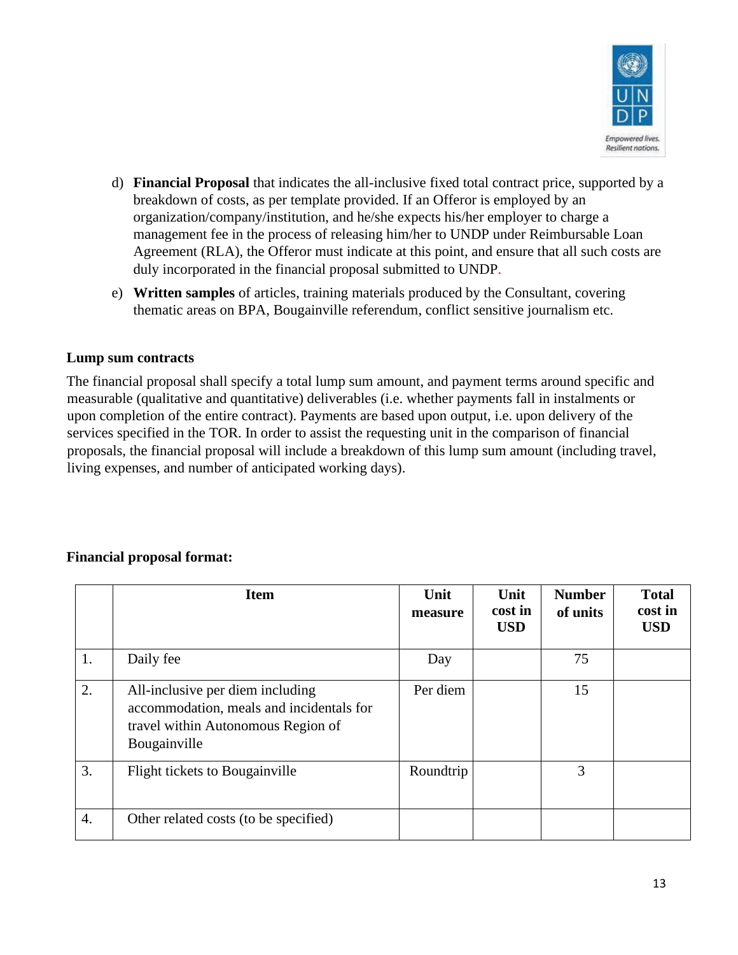

- d) **Financial Proposal** that indicates the all-inclusive fixed total contract price, supported by a breakdown of costs, as per template provided. If an Offeror is employed by an organization/company/institution, and he/she expects his/her employer to charge a management fee in the process of releasing him/her to UNDP under Reimbursable Loan Agreement (RLA), the Offeror must indicate at this point, and ensure that all such costs are duly incorporated in the financial proposal submitted to UNDP.
- e) **Written samples** of articles, training materials produced by the Consultant, covering thematic areas on BPA, Bougainville referendum, conflict sensitive journalism etc.

## **Lump sum contracts**

The financial proposal shall specify a total lump sum amount, and payment terms around specific and measurable (qualitative and quantitative) deliverables (i.e. whether payments fall in instalments or upon completion of the entire contract). Payments are based upon output, i.e. upon delivery of the services specified in the TOR. In order to assist the requesting unit in the comparison of financial proposals, the financial proposal will include a breakdown of this lump sum amount (including travel, living expenses, and number of anticipated working days).

#### **Financial proposal format:**

|    | <b>Item</b>                                                                                                                        | Unit<br>measure | Unit<br>cost in<br><b>USD</b> | <b>Number</b><br>of units | <b>Total</b><br>cost in<br><b>USD</b> |
|----|------------------------------------------------------------------------------------------------------------------------------------|-----------------|-------------------------------|---------------------------|---------------------------------------|
| 1. | Daily fee                                                                                                                          | Day             |                               | 75                        |                                       |
| 2. | All-inclusive per diem including<br>accommodation, meals and incidentals for<br>travel within Autonomous Region of<br>Bougainville | Per diem        |                               | 15                        |                                       |
| 3. | Flight tickets to Bougainville                                                                                                     | Roundtrip       |                               | 3                         |                                       |
| 4. | Other related costs (to be specified)                                                                                              |                 |                               |                           |                                       |